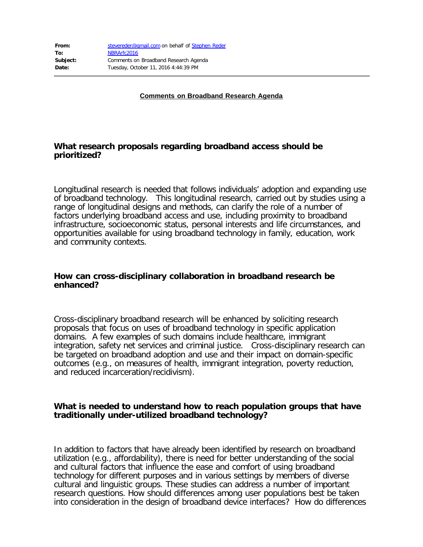**Comments on Broadband Research Agenda**

## **What research proposals regarding broadband access should be prioritized?**

Longitudinal research is needed that follows individuals' adoption and expanding use of broadband technology. This longitudinal research, carried out by studies using a range of longitudinal designs and methods, can clarify the role of a number of factors underlying broadband access and use, including proximity to broadband infrastructure, socioeconomic status, personal interests and life circumstances, and opportunities available for using broadband technology in family, education, work and community contexts.

## **How can cross-disciplinary collaboration in broadband research be enhanced?**

Cross-disciplinary broadband research will be enhanced by soliciting research proposals that focus on uses of broadband technology in specific application domains. A few examples of such domains include healthcare, immigrant integration, safety net services and criminal justice. Cross-disciplinary research can be targeted on broadband adoption and use and their impact on domain-specific outcomes (e.g., on measures of health, immigrant integration, poverty reduction, and reduced incarceration/recidivism).

## **What is needed to understand how to reach population groups that have traditionally under-utilized broadband technology?**

In addition to factors that have already been identified by research on broadband utilization (e.g., affordability), there is need for better understanding of the social and cultural factors that influence the ease and comfort of using broadband technology for different purposes and in various settings by members of diverse cultural and linguistic groups. These studies can address a number of important research questions. How should differences among user populations best be taken into consideration in the design of broadband device interfaces? How do differences